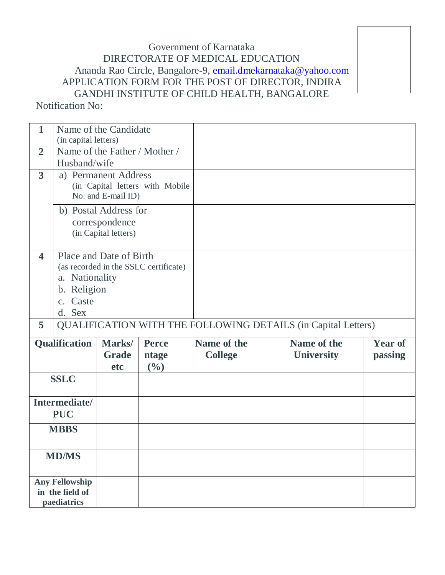## Government of Karnataka DIRECTORATE OF MEDICAL EDUCATION Ananda Rao Circle, Bangalore-9, [email.dmekarnataka@yahoo.com](mailto:email.dmekarnataka@yahoo.com) APPLICATION FORM FOR THE POST OF DIRECTOR, INDIRA GANDHI INSTITUTE OF CHILD HEALTH, BANGALORE

Notification No:

| $\mathbf{1}$                                                                                  | (in capital letters)                                                                                                    | Name of the Candidate         |                                |  |                               |  |                                  |                           |
|-----------------------------------------------------------------------------------------------|-------------------------------------------------------------------------------------------------------------------------|-------------------------------|--------------------------------|--|-------------------------------|--|----------------------------------|---------------------------|
| $\overline{2}$                                                                                | Name of the Father / Mother /<br>Husband/wife                                                                           |                               |                                |  |                               |  |                                  |                           |
| $\mathbf{3}$<br>a) Permanent Address<br>(in Capital letters with Mobile<br>No. and E-mail ID) |                                                                                                                         |                               |                                |  |                               |  |                                  |                           |
|                                                                                               | b) Postal Address for<br>correspondence<br>(in Capital letters)                                                         |                               |                                |  |                               |  |                                  |                           |
| $\overline{\mathbf{4}}$                                                                       | Place and Date of Birth<br>(as recorded in the SSLC certificate)<br>a. Nationality<br>b. Religion<br>c. Caste<br>d. Sex |                               |                                |  |                               |  |                                  |                           |
| 5                                                                                             | <b>QUALIFICATION WITH THE FOLLOWING DETAILS (in Capital Letters)</b>                                                    |                               |                                |  |                               |  |                                  |                           |
| Qualification                                                                                 |                                                                                                                         | Marks/<br><b>Grade</b><br>etc | <b>Perce</b><br>ntage<br>(0/0) |  | Name of the<br><b>College</b> |  | Name of the<br><b>University</b> | <b>Year of</b><br>passing |
| <b>SSLC</b>                                                                                   |                                                                                                                         |                               |                                |  |                               |  |                                  |                           |
| Intermediate/<br><b>PUC</b>                                                                   |                                                                                                                         |                               |                                |  |                               |  |                                  |                           |
| <b>MBBS</b>                                                                                   |                                                                                                                         |                               |                                |  |                               |  |                                  |                           |
| <b>MD/MS</b>                                                                                  |                                                                                                                         |                               |                                |  |                               |  |                                  |                           |
| <b>Any Fellowship</b><br>in the field of<br>paediatrics                                       |                                                                                                                         |                               |                                |  |                               |  |                                  |                           |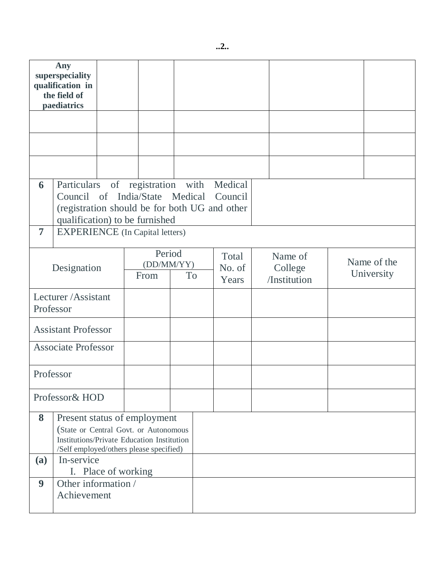| Any<br>superspeciality<br>qualification in<br>the field of<br>paediatrics |                                                                                                                                                                              |  |                                           |  |                          |  |                                    |  |                           |  |
|---------------------------------------------------------------------------|------------------------------------------------------------------------------------------------------------------------------------------------------------------------------|--|-------------------------------------------|--|--------------------------|--|------------------------------------|--|---------------------------|--|
|                                                                           |                                                                                                                                                                              |  |                                           |  |                          |  |                                    |  |                           |  |
|                                                                           |                                                                                                                                                                              |  |                                           |  |                          |  |                                    |  |                           |  |
|                                                                           |                                                                                                                                                                              |  |                                           |  |                          |  |                                    |  |                           |  |
| 6                                                                         | Particulars of registration with Medical<br>Council of India/State Medical<br>Council<br>(registration should be for both UG and other<br>qualification) to be furnished     |  |                                           |  |                          |  |                                    |  |                           |  |
| $\overline{7}$                                                            |                                                                                                                                                                              |  | <b>EXPERIENCE</b> (In Capital letters)    |  |                          |  |                                    |  |                           |  |
| Designation                                                               |                                                                                                                                                                              |  | Period<br>(DD/MM/YY)<br>From<br><b>To</b> |  | Total<br>No. of<br>Years |  | Name of<br>College<br>/Institution |  | Name of the<br>University |  |
| Lecturer/Assistant<br>Professor                                           |                                                                                                                                                                              |  |                                           |  |                          |  |                                    |  |                           |  |
| <b>Assistant Professor</b>                                                |                                                                                                                                                                              |  |                                           |  |                          |  |                                    |  |                           |  |
| <b>Associate Professor</b>                                                |                                                                                                                                                                              |  |                                           |  |                          |  |                                    |  |                           |  |
| Professor                                                                 |                                                                                                                                                                              |  |                                           |  |                          |  |                                    |  |                           |  |
| Professor& HOD                                                            |                                                                                                                                                                              |  |                                           |  |                          |  |                                    |  |                           |  |
| 8<br><b>(a)</b>                                                           | Present status of employment<br>(State or Central Govt. or Autonomous<br>Institutions/Private Education Institution<br>/Self employed/others please specified)<br>In-service |  |                                           |  |                          |  |                                    |  |                           |  |
|                                                                           | I. Place of working                                                                                                                                                          |  |                                           |  |                          |  |                                    |  |                           |  |
| 9                                                                         | Other information /<br>Achievement                                                                                                                                           |  |                                           |  |                          |  |                                    |  |                           |  |